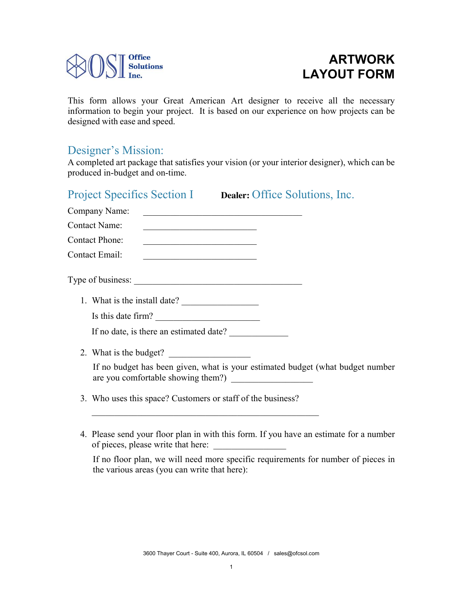

# **ARTWORK LAYOUT FORM**

This form allows your Great American Art designer to receive all the necessary information to begin your project. It is based on our experience on how projects can be designed with ease and speed.

## Designer's Mission:

A completed art package that satisfies your vision (or your interior designer), which can be produced in-budget and on-time.

# Project Specifics Section I **Dealer:** Office Solutions, Inc. Company Name: Contact Name<sup>-</sup> Contact Phone: Contact Email: Type of business: 1. What is the install date? Is this date firm? If no date, is there an estimated date? 2. What is the budget? If no budget has been given, what is your estimated budget (what budget number are you comfortable showing them?) \_\_\_\_\_\_\_\_\_\_\_\_\_\_\_\_\_\_ 3. Who uses this space? Customers or staff of the business?

 $\mathcal{L}_\text{max}$  and the contract of the contract of the contract of the contract of the contract of the contract of the contract of the contract of the contract of the contract of the contract of the contract of the contrac

4. Please send your floor plan in with this form. If you have an estimate for a number of pieces, please write that here: \_\_\_\_\_\_\_\_\_\_\_\_\_\_\_\_

If no floor plan, we will need more specific requirements for number of pieces in the various areas (you can write that here):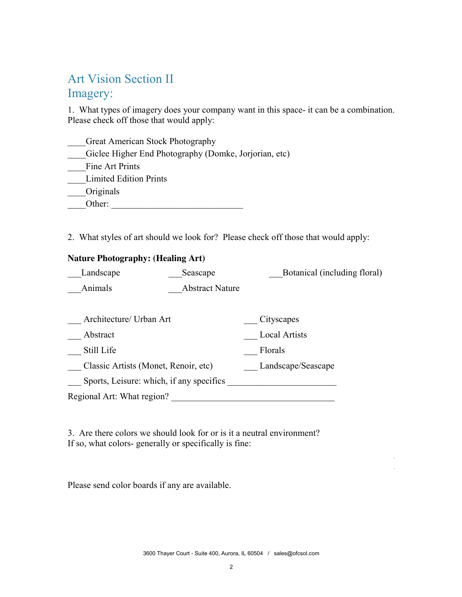## Art Vision Section II

### Imagery:

1. What types of imagery does your company want in this space- it can be a combination. Please check off those that would apply:

Great American Stock Photography

\_\_\_\_Giclee Higher End Photography (Domke, Jorjorian, etc)

Fine Art Prints

\_\_\_\_Limited Edition Prints

\_\_\_\_Originals

\_\_\_\_Other: \_\_\_\_\_\_\_\_\_\_\_\_\_\_\_\_\_\_\_\_\_\_\_\_\_\_\_\_\_

2. What styles of art should we look for? Please check off those that would apply:

#### **Nature Photography: (Healing Art)**

| Landscape<br>Seascape             |  | Botanical (including floral) |
|-----------------------------------|--|------------------------------|
| Animals<br><b>Abstract Nature</b> |  |                              |
|                                   |  |                              |

| Architecture/ Urban Art                  | Cityscapes           |
|------------------------------------------|----------------------|
| Abstract                                 | <b>Local Artists</b> |
| Still Life                               | Florals              |
| Classic Artists (Monet, Renoir, etc)     | Landscape/Seascape   |
| Sports, Leisure: which, if any specifics |                      |
| Regional Art: What region?               |                      |

3. Are there colors we should look for or is it a neutral environment? If so, what colors- generally or specifically is fine:

Please send color boards if any are available.

 $\mathcal{L}_\mathcal{L} = \mathcal{L}_\mathcal{L} = \mathcal{L}_\mathcal{L} = \mathcal{L}_\mathcal{L} = \mathcal{L}_\mathcal{L} = \mathcal{L}_\mathcal{L} = \mathcal{L}_\mathcal{L} = \mathcal{L}_\mathcal{L} = \mathcal{L}_\mathcal{L} = \mathcal{L}_\mathcal{L} = \mathcal{L}_\mathcal{L} = \mathcal{L}_\mathcal{L} = \mathcal{L}_\mathcal{L} = \mathcal{L}_\mathcal{L} = \mathcal{L}_\mathcal{L} = \mathcal{L}_\mathcal{L} = \mathcal{L}_\mathcal{L}$